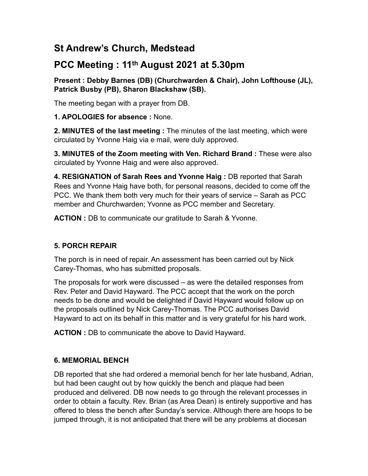# **St Andrew's Church, Medstead**

# **PCC Meeting : 11th August 2021 at 5.30pm**

**Present : Debby Barnes (DB) (Churchwarden & Chair), John Lofthouse (JL), Patrick Busby (PB), Sharon Blackshaw (SB).** 

The meeting began with a prayer from DB.

**1. APOLOGIES for absence :** None.

**2. MINUTES of the last meeting :** The minutes of the last meeting, which were circulated by Yvonne Haig via e mail, were duly approved.

**3. MINUTES of the Zoom meeting with Ven. Richard Brand :** These were also circulated by Yvonne Haig and were also approved.

**4. RESIGNATION of Sarah Rees and Yvonne Haig :** DB reported that Sarah Rees and Yvonne Haig have both, for personal reasons, decided to come off the PCC. We thank them both very much for their years of service – Sarah as PCC member and Churchwarden; Yvonne as PCC member and Secretary.

**ACTION :** DB to communicate our gratitude to Sarah & Yvonne.

## **5. PORCH REPAIR**

The porch is in need of repair. An assessment has been carried out by Nick Carey-Thomas, who has submitted proposals.

The proposals for work were discussed – as were the detailed responses from Rev. Peter and David Hayward. The PCC accept that the work on the porch needs to be done and would be delighted if David Hayward would follow up on the proposals outlined by Nick Carey-Thomas. The PCC authorises David Hayward to act on its behalf in this matter and is very grateful for his hard work.

**ACTION :** DB to communicate the above to David Hayward.

## **6. MEMORIAL BENCH**

DB reported that she had ordered a memorial bench for her late husband, Adrian, but had been caught out by how quickly the bench and plaque had been produced and delivered. DB now needs to go through the relevant processes in order to obtain a faculty. Rev. Brian (as Area Dean) is entirely supportive and has offered to bless the bench after Sunday's service. Although there are hoops to be jumped through, it is not anticipated that there will be any problems at diocesan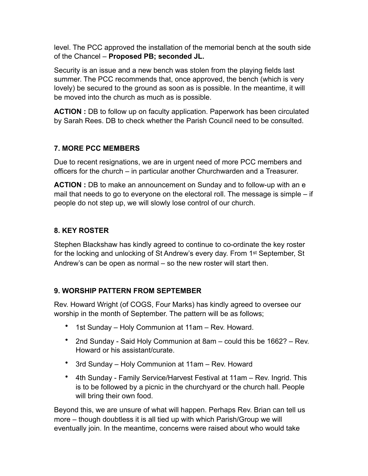level. The PCC approved the installation of the memorial bench at the south side of the Chancel – **Proposed PB; seconded JL.**

Security is an issue and a new bench was stolen from the playing fields last summer. The PCC recommends that, once approved, the bench (which is very lovely) be secured to the ground as soon as is possible. In the meantime, it will be moved into the church as much as is possible.

**ACTION :** DB to follow up on faculty application. Paperwork has been circulated by Sarah Rees. DB to check whether the Parish Council need to be consulted.

## **7. MORE PCC MEMBERS**

Due to recent resignations, we are in urgent need of more PCC members and officers for the church – in particular another Churchwarden and a Treasurer.

**ACTION :** DB to make an announcement on Sunday and to follow-up with an e mail that needs to go to everyone on the electoral roll. The message is simple – if people do not step up, we will slowly lose control of our church.

### **8. KEY ROSTER**

Stephen Blackshaw has kindly agreed to continue to co-ordinate the key roster for the locking and unlocking of St Andrew's every day. From 1<sup>st</sup> September, St Andrew's can be open as normal – so the new roster will start then.

## **9. WORSHIP PATTERN FROM SEPTEMBER**

Rev. Howard Wright (of COGS, Four Marks) has kindly agreed to oversee our worship in the month of September. The pattern will be as follows;

- 1st Sunday Holy Communion at 11am Rev. Howard.
- 2nd Sunday Said Holy Communion at 8am could this be 1662? Rev. Howard or his assistant/curate.
- 3rd Sunday Holy Communion at 11am Rev. Howard
- 4th Sunday Family Service/Harvest Festival at 11am Rev. Ingrid. This is to be followed by a picnic in the churchyard or the church hall. People will bring their own food.

Beyond this, we are unsure of what will happen. Perhaps Rev. Brian can tell us more – though doubtless it is all tied up with which Parish/Group we will eventually join. In the meantime, concerns were raised about who would take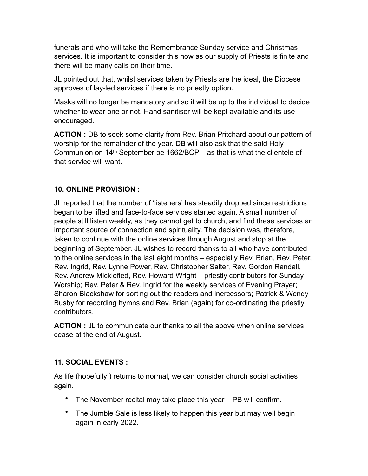funerals and who will take the Remembrance Sunday service and Christmas services. It is important to consider this now as our supply of Priests is finite and there will be many calls on their time.

JL pointed out that, whilst services taken by Priests are the ideal, the Diocese approves of lay-led services if there is no priestly option.

Masks will no longer be mandatory and so it will be up to the individual to decide whether to wear one or not. Hand sanitiser will be kept available and its use encouraged.

**ACTION :** DB to seek some clarity from Rev. Brian Pritchard about our pattern of worship for the remainder of the year. DB will also ask that the said Holy Communion on 14th September be 1662/BCP – as that is what the clientele of that service will want.

#### **10. ONLINE PROVISION :**

JL reported that the number of 'listeners' has steadily dropped since restrictions began to be lifted and face-to-face services started again. A small number of people still listen weekly, as they cannot get to church, and find these services an important source of connection and spirituality. The decision was, therefore, taken to continue with the online services through August and stop at the beginning of September. JL wishes to record thanks to all who have contributed to the online services in the last eight months – especially Rev. Brian, Rev. Peter, Rev. Ingrid, Rev. Lynne Power, Rev. Christopher Salter, Rev. Gordon Randall, Rev. Andrew Micklefied, Rev. Howard Wright – priestly contributors for Sunday Worship; Rev. Peter & Rev. Ingrid for the weekly services of Evening Prayer; Sharon Blackshaw for sorting out the readers and inercessors; Patrick & Wendy Busby for recording hymns and Rev. Brian (again) for co-ordinating the priestly contributors.

**ACTION :** JL to communicate our thanks to all the above when online services cease at the end of August.

#### **11. SOCIAL EVENTS :**

As life (hopefully!) returns to normal, we can consider church social activities again.

- The November recital may take place this year PB will confirm.
- The Jumble Sale is less likely to happen this year but may well begin again in early 2022.